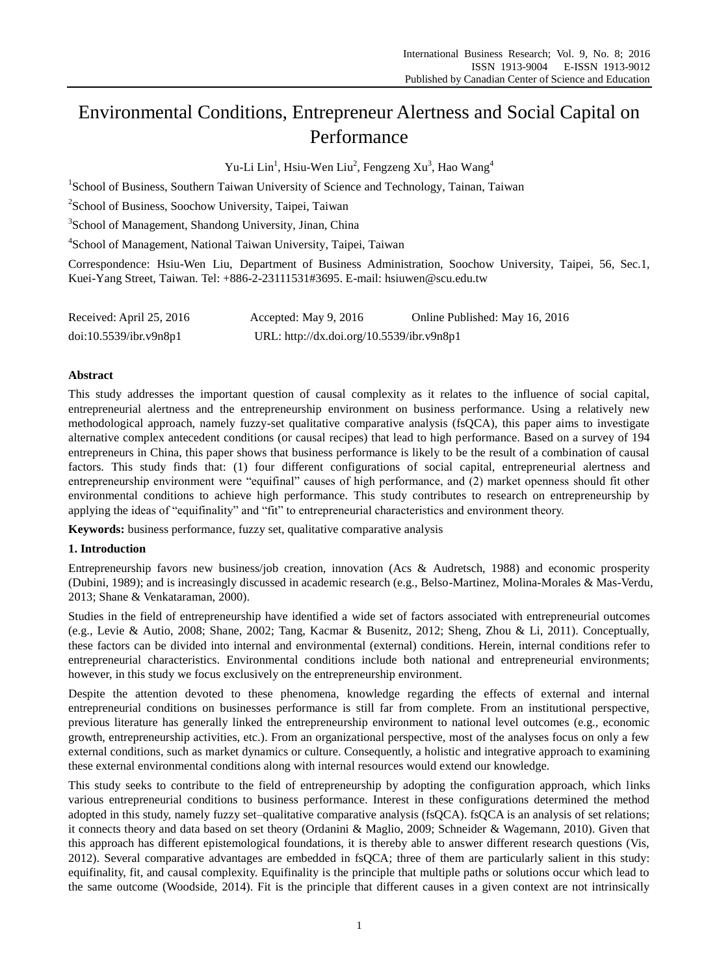# Environmental Conditions, Entrepreneur Alertness and Social Capital on Performance

Yu-Li Lin<sup>1</sup>, Hsiu-Wen Liu<sup>2</sup>, Fengzeng Xu<sup>3</sup>, Hao Wang<sup>4</sup>

<sup>1</sup>School of Business, Southern Taiwan University of Science and Technology, Tainan, Taiwan

<sup>2</sup>School of Business, Soochow University, Taipei, Taiwan

<sup>3</sup>School of Management, Shandong University, Jinan, China

4 School of Management, National Taiwan University, Taipei, Taiwan

Correspondence: Hsiu-Wen Liu, Department of Business Administration, Soochow University, Taipei, 56, Sec.1, Kuei-Yang Street, Taiwan. Tel: +886-2-23111531#3695. E-mail: hsiuwen@scu.edu.tw

| Received: April 25, 2016 | Accepted: May 9, 2016                     | Online Published: May 16, 2016 |
|--------------------------|-------------------------------------------|--------------------------------|
| doi:10.5539/ibr.v9n8p1   | URL: http://dx.doi.org/10.5539/ibr.v9n8p1 |                                |

# **Abstract**

This study addresses the important question of causal complexity as it relates to the influence of social capital, entrepreneurial alertness and the entrepreneurship environment on business performance. Using a relatively new methodological approach, namely fuzzy-set qualitative comparative analysis (fsQCA), this paper aims to investigate alternative complex antecedent conditions (or causal recipes) that lead to high performance. Based on a survey of 194 entrepreneurs in China, this paper shows that business performance is likely to be the result of a combination of causal factors. This study finds that: (1) four different configurations of social capital, entrepreneurial alertness and entrepreneurship environment were "equifinal" causes of high performance, and (2) market openness should fit other environmental conditions to achieve high performance. This study contributes to research on entrepreneurship by applying the ideas of "equifinality" and "fit" to entrepreneurial characteristics and environment theory.

**Keywords:** business performance, fuzzy set, qualitative comparative analysis

#### **1. Introduction**

Entrepreneurship favors new business/job creation, innovation (Acs & Audretsch, 1988) and economic prosperity (Dubini, 1989); and is increasingly discussed in academic research (e.g., Belso-Martinez, Molina-Morales & Mas-Verdu, 2013; Shane & Venkataraman, 2000).

Studies in the field of entrepreneurship have identified a wide set of factors associated with entrepreneurial outcomes (e.g., Levie & Autio, 2008; Shane, 2002; Tang, Kacmar & Busenitz, 2012; Sheng, Zhou & Li, 2011). Conceptually, these factors can be divided into internal and environmental (external) conditions. Herein, internal conditions refer to entrepreneurial characteristics. Environmental conditions include both national and entrepreneurial environments; however, in this study we focus exclusively on the entrepreneurship environment.

Despite the attention devoted to these phenomena, knowledge regarding the effects of external and internal entrepreneurial conditions on businesses performance is still far from complete. From an institutional perspective, previous literature has generally linked the entrepreneurship environment to national level outcomes (e.g., economic growth, entrepreneurship activities, etc.). From an organizational perspective, most of the analyses focus on only a few external conditions, such as market dynamics or culture. Consequently, a holistic and integrative approach to examining these external environmental conditions along with internal resources would extend our knowledge.

This study seeks to contribute to the field of entrepreneurship by adopting the configuration approach, which links various entrepreneurial conditions to business performance. Interest in these configurations determined the method adopted in this study, namely fuzzy set–qualitative comparative analysis (fsQCA). fsQCA is an analysis of set relations; it connects theory and data based on set theory (Ordanini & Maglio, 2009; Schneider & Wagemann, 2010). Given that this approach has different epistemological foundations, it is thereby able to answer different research questions (Vis, 2012). Several comparative advantages are embedded in fsQCA; three of them are particularly salient in this study: equifinality, fit, and causal complexity. Equifinality is the principle that multiple paths or solutions occur which lead to the same outcome (Woodside, 2014). Fit is the principle that different causes in a given context are not intrinsically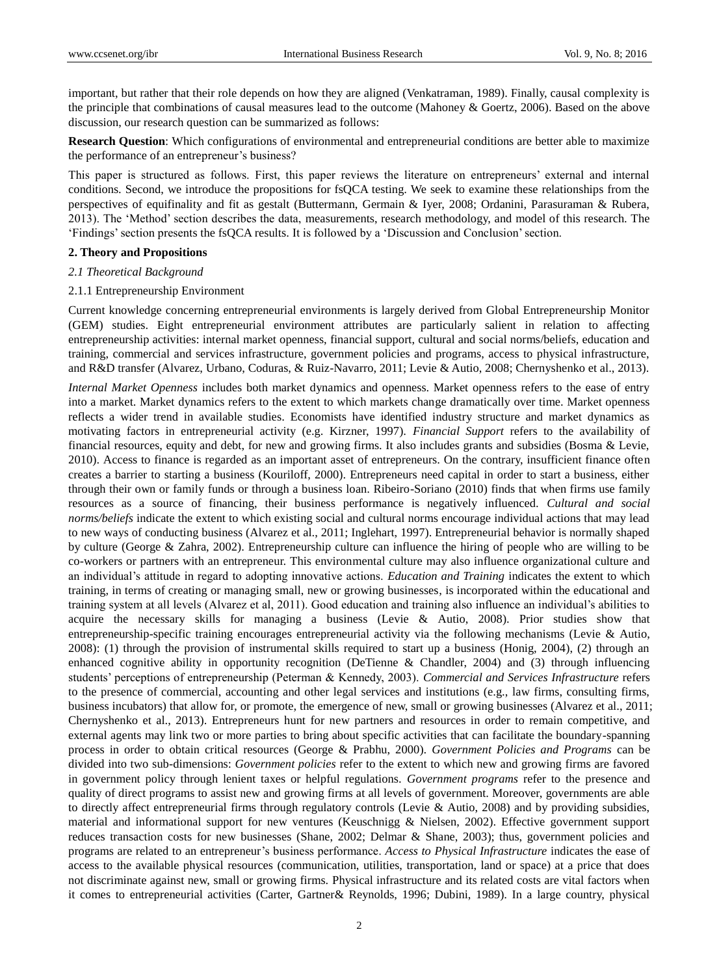important, but rather that their role depends on how they are aligned (Venkatraman, 1989). Finally, causal complexity is the principle that combinations of causal measures lead to the outcome (Mahoney & Goertz, 2006). Based on the above discussion, our research question can be summarized as follows:

**Research Question**: Which configurations of environmental and entrepreneurial conditions are better able to maximize the performance of an entrepreneur's business?

This paper is structured as follows. First, this paper reviews the literature on entrepreneurs" external and internal conditions. Second, we introduce the propositions for fsQCA testing. We seek to examine these relationships from the perspectives of equifinality and fit as gestalt (Buttermann, Germain & Iyer, 2008; Ordanini, Parasuraman & Rubera, 2013). The "Method" section describes the data, measurements, research methodology, and model of this research. The "Findings" section presents the fsQCA results. It is followed by a "Discussion and Conclusion" section.

#### **2. Theory and Propositions**

#### *2.1 Theoretical Background*

#### 2.1.1 Entrepreneurship Environment

Current knowledge concerning entrepreneurial environments is largely derived from Global Entrepreneurship Monitor (GEM) studies. Eight entrepreneurial environment attributes are particularly salient in relation to affecting entrepreneurship activities: internal market openness, financial support, cultural and social norms/beliefs, education and training, commercial and services infrastructure, government policies and programs, access to physical infrastructure, and R&D transfer (Alvarez, Urbano, Coduras, & Ruiz-Navarro, 2011; Levie & Autio, 2008; Chernyshenko et al., 2013).

*Internal Market Openness* includes both market dynamics and openness. Market openness refers to the ease of entry into a market. Market dynamics refers to the extent to which markets change dramatically over time. Market openness reflects a wider trend in available studies. Economists have identified industry structure and market dynamics as motivating factors in entrepreneurial activity (e.g. Kirzner, 1997). *Financial Support* refers to the availability of financial resources, equity and debt, for new and growing firms. It also includes grants and subsidies (Bosma & Levie, 2010). Access to finance is regarded as an important asset of entrepreneurs. On the contrary, insufficient finance often creates a barrier to starting a business (Kouriloff, 2000). Entrepreneurs need capital in order to start a business, either through their own or family funds or through a business loan. Ribeiro-Soriano (2010) finds that when firms use family resources as a source of financing, their business performance is negatively influenced. *Cultural and social norms/beliefs* indicate the extent to which existing social and cultural norms encourage individual actions that may lead to new ways of conducting business (Alvarez et al., 2011; Inglehart, 1997). Entrepreneurial behavior is normally shaped by culture (George & Zahra, 2002). Entrepreneurship culture can influence the hiring of people who are willing to be co-workers or partners with an entrepreneur. This environmental culture may also influence organizational culture and an individual's attitude in regard to adopting innovative actions. *Education and Training* indicates the extent to which training, in terms of creating or managing small, new or growing businesses, is incorporated within the educational and training system at all levels (Alvarez et al, 2011). Good education and training also influence an individual"s abilities to acquire the necessary skills for managing a business (Levie & Autio, 2008). Prior studies show that entrepreneurship-specific training encourages entrepreneurial activity via the following mechanisms (Levie & Autio, 2008): (1) through the provision of instrumental skills required to start up a business (Honig, 2004), (2) through an enhanced cognitive ability in opportunity recognition (DeTienne & Chandler, 2004) and (3) through influencing students" perceptions of entrepreneurship (Peterman & Kennedy, 2003). *Commercial and Services Infrastructure* refers to the presence of commercial, accounting and other legal services and institutions (e.g., law firms, consulting firms, business incubators) that allow for, or promote, the emergence of new, small or growing businesses (Alvarez et al., 2011; Chernyshenko et al., 2013). Entrepreneurs hunt for new partners and resources in order to remain competitive, and external agents may link two or more parties to bring about specific activities that can facilitate the boundary-spanning process in order to obtain critical resources (George & Prabhu, 2000). *Government Policies and Programs* can be divided into two sub-dimensions: *Government policies* refer to the extent to which new and growing firms are favored in government policy through lenient taxes or helpful regulations. *Government programs* refer to the presence and quality of direct programs to assist new and growing firms at all levels of government. Moreover, governments are able to directly affect entrepreneurial firms through regulatory controls (Levie & Autio, 2008) and by providing subsidies, material and informational support for new ventures (Keuschnigg & Nielsen, 2002). Effective government support reduces transaction costs for new businesses (Shane, 2002; Delmar & Shane, 2003); thus, government policies and programs are related to an entrepreneur"s business performance. *Access to Physical Infrastructure* indicates the ease of access to the available physical resources (communication, utilities, transportation, land or space) at a price that does not discriminate against new, small or growing firms. Physical infrastructure and its related costs are vital factors when it comes to entrepreneurial activities (Carter, Gartner& Reynolds, 1996; Dubini, 1989). In a large country, physical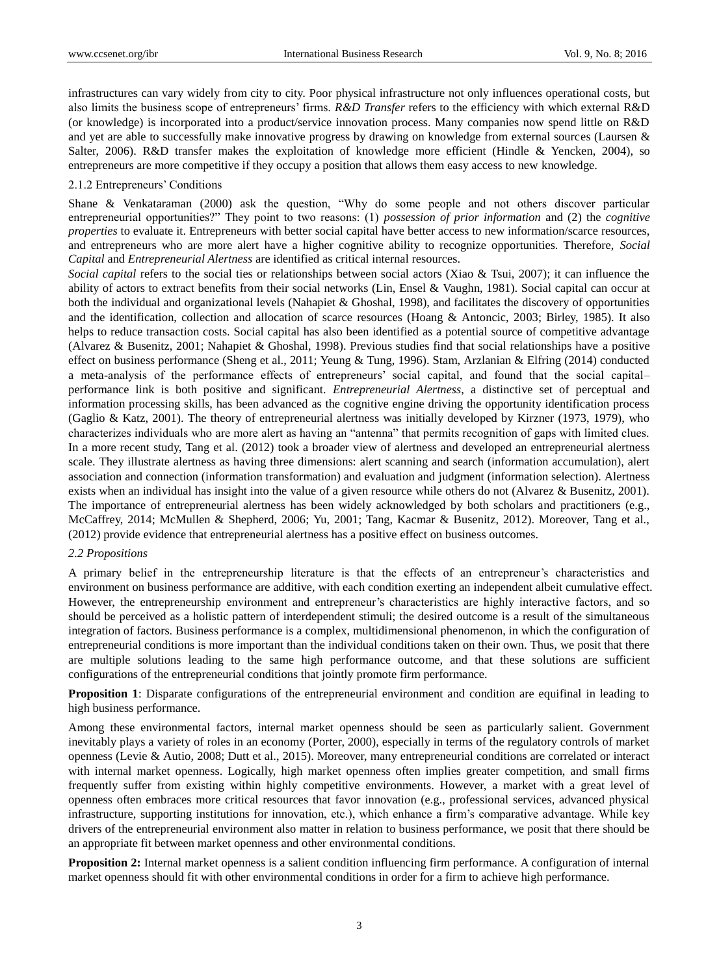infrastructures can vary widely from city to city. Poor physical infrastructure not only influences operational costs, but also limits the business scope of entrepreneurs" firms. *R&D Transfer* refers to the efficiency with which external R&D (or knowledge) is incorporated into a product/service innovation process. Many companies now spend little on R&D and yet are able to successfully make innovative progress by drawing on knowledge from external sources (Laursen & Salter, 2006). R&D transfer makes the exploitation of knowledge more efficient (Hindle & Yencken, 2004), so entrepreneurs are more competitive if they occupy a position that allows them easy access to new knowledge.

# 2.1.2 Entrepreneurs" Conditions

Shane & Venkataraman (2000) ask the question, "Why do some people and not others discover particular entrepreneurial opportunities?" They point to two reasons: (1) *possession of prior information* and (2) the *cognitive properties* to evaluate it. Entrepreneurs with better social capital have better access to new information/scarce resources, and entrepreneurs who are more alert have a higher cognitive ability to recognize opportunities. Therefore, *Social Capital* and *Entrepreneurial Alertness* are identified as critical internal resources.

*Social capital* refers to the social ties or relationships between social actors (Xiao & Tsui, 2007); it can influence the ability of actors to extract benefits from their social networks (Lin, Ensel & Vaughn, 1981). Social capital can occur at both the individual and organizational levels (Nahapiet & Ghoshal, 1998), and facilitates the discovery of opportunities and the identification, collection and allocation of scarce resources (Hoang & Antoncic, 2003; Birley, 1985). It also helps to reduce transaction costs. Social capital has also been identified as a potential source of competitive advantage (Alvarez & Busenitz, 2001; Nahapiet & Ghoshal, 1998). Previous studies find that social relationships have a positive effect on business performance (Sheng et al., 2011; Yeung & Tung, 1996). Stam, Arzlanian & Elfring (2014) conducted a meta-analysis of the performance effects of entrepreneurs" social capital, and found that the social capital– performance link is both positive and significant. *Entrepreneurial Alertness*, a distinctive set of perceptual and information processing skills, has been advanced as the cognitive engine driving the opportunity identification process (Gaglio & Katz, 2001). The theory of entrepreneurial alertness was initially developed by Kirzner (1973, 1979), who characterizes individuals who are more alert as having an "antenna" that permits recognition of gaps with limited clues. In a more recent study, Tang et al. (2012) took a broader view of alertness and developed an entrepreneurial alertness scale. They illustrate alertness as having three dimensions: alert scanning and search (information accumulation), alert association and connection (information transformation) and evaluation and judgment (information selection). Alertness exists when an individual has insight into the value of a given resource while others do not (Alvarez & Busenitz, 2001). The importance of entrepreneurial alertness has been widely acknowledged by both scholars and practitioners (e.g., McCaffrey, 2014; McMullen & Shepherd, 2006; Yu, 2001; Tang, Kacmar & Busenitz, 2012). Moreover, Tang et al., (2012) provide evidence that entrepreneurial alertness has a positive effect on business outcomes.

#### *2.2 Propositions*

A primary belief in the entrepreneurship literature is that the effects of an entrepreneur"s characteristics and environment on business performance are additive, with each condition exerting an independent albeit cumulative effect. However, the entrepreneurship environment and entrepreneur"s characteristics are highly interactive factors, and so should be perceived as a holistic pattern of interdependent stimuli; the desired outcome is a result of the simultaneous integration of factors. Business performance is a complex, multidimensional phenomenon, in which the configuration of entrepreneurial conditions is more important than the individual conditions taken on their own. Thus, we posit that there are multiple solutions leading to the same high performance outcome, and that these solutions are sufficient configurations of the entrepreneurial conditions that jointly promote firm performance.

**Proposition 1**: Disparate configurations of the entrepreneurial environment and condition are equifinal in leading to high business performance.

Among these environmental factors, internal market openness should be seen as particularly salient. Government inevitably plays a variety of roles in an economy (Porter, 2000), especially in terms of the regulatory controls of market openness (Levie & Autio, 2008; Dutt et al., 2015). Moreover, many entrepreneurial conditions are correlated or interact with internal market openness. Logically, high market openness often implies greater competition, and small firms frequently suffer from existing within highly competitive environments. However, a market with a great level of openness often embraces more critical resources that favor innovation (e.g., professional services, advanced physical infrastructure, supporting institutions for innovation, etc.), which enhance a firm"s comparative advantage. While key drivers of the entrepreneurial environment also matter in relation to business performance, we posit that there should be an appropriate fit between market openness and other environmental conditions.

**Proposition 2:** Internal market openness is a salient condition influencing firm performance. A configuration of internal market openness should fit with other environmental conditions in order for a firm to achieve high performance.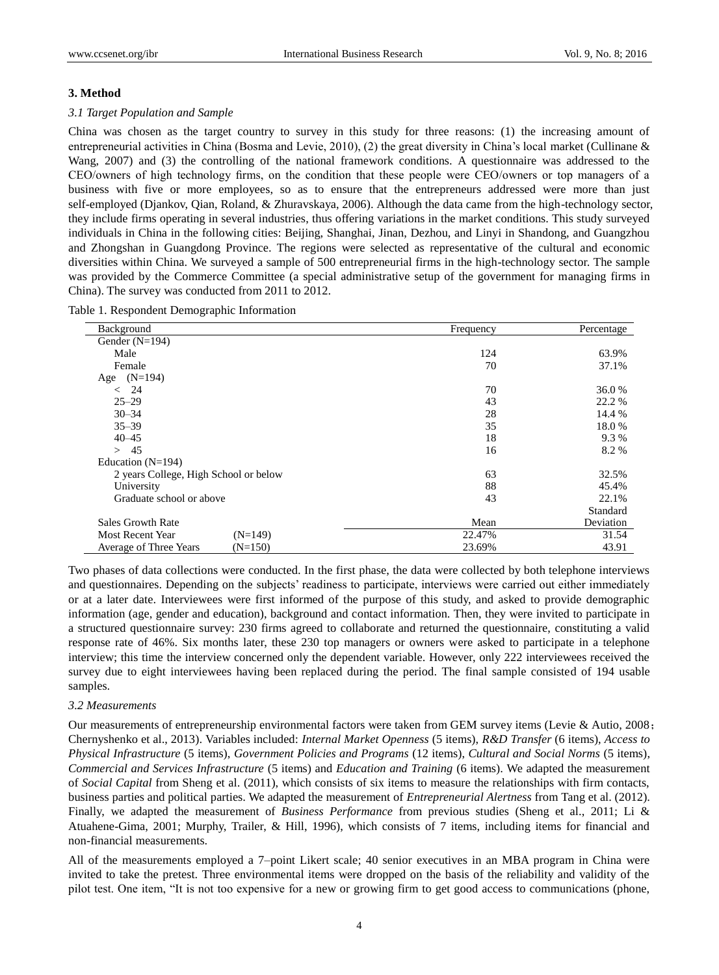## **3. Method**

#### *3.1 Target Population and Sample*

China was chosen as the target country to survey in this study for three reasons: (1) the increasing amount of entrepreneurial activities in China (Bosma and Levie, 2010), (2) the great diversity in China"s local market (Cullinane & Wang, 2007) and (3) the controlling of the national framework conditions. A questionnaire was addressed to the CEO/owners of high technology firms, on the condition that these people were CEO/owners or top managers of a business with five or more employees, so as to ensure that the entrepreneurs addressed were more than just self-employed (Djankov, Qian, Roland, & Zhuravskaya, 2006). Although the data came from the high-technology sector, they include firms operating in several industries, thus offering variations in the market conditions. This study surveyed individuals in China in the following cities: Beijing, Shanghai, Jinan, Dezhou, and Linyi in Shandong, and Guangzhou and Zhongshan in Guangdong Province. The regions were selected as representative of the cultural and economic diversities within China. We surveyed a sample of 500 entrepreneurial firms in the high-technology sector. The sample was provided by the Commerce Committee (a special administrative setup of the government for managing firms in China). The survey was conducted from 2011 to 2012.

|  |  |  |  | Table 1. Respondent Demographic Information |
|--|--|--|--|---------------------------------------------|
|--|--|--|--|---------------------------------------------|

| Background                            | Frequency | Percentage |
|---------------------------------------|-----------|------------|
| Gender $(N=194)$                      |           |            |
| Male                                  | 124       | 63.9%      |
| Female                                | 70        | 37.1%      |
| $(N=194)$<br>Age                      |           |            |
| 24<br>$\,<\,$                         | 70        | 36.0%      |
| $25 - 29$                             | 43        | 22.2 %     |
| $30 - 34$                             | 28        | 14.4 %     |
| $35 - 39$                             | 35        | 18.0%      |
| $40 - 45$                             | 18        | 9.3%       |
| > 45                                  | 16        | 8.2%       |
| Education $(N=194)$                   |           |            |
| 2 years College, High School or below | 63        | 32.5%      |
| University                            | 88        | 45.4%      |
| Graduate school or above              | 43        | 22.1%      |
|                                       |           | Standard   |
| <b>Sales Growth Rate</b>              | Mean      | Deviation  |
| <b>Most Recent Year</b><br>$(N=149)$  | 22.47%    | 31.54      |
| $(N=150)$<br>Average of Three Years   | 23.69%    | 43.91      |

Two phases of data collections were conducted. In the first phase, the data were collected by both telephone interviews and questionnaires. Depending on the subjects' readiness to participate, interviews were carried out either immediately or at a later date. Interviewees were first informed of the purpose of this study, and asked to provide demographic information (age, gender and education), background and contact information. Then, they were invited to participate in a structured questionnaire survey: 230 firms agreed to collaborate and returned the questionnaire, constituting a valid response rate of 46%. Six months later, these 230 top managers or owners were asked to participate in a telephone interview; this time the interview concerned only the dependent variable. However, only 222 interviewees received the survey due to eight interviewees having been replaced during the period. The final sample consisted of 194 usable samples.

#### *3.2 Measurements*

Our measurements of entrepreneurship environmental factors were taken from GEM survey items (Levie & Autio, 2008; Chernyshenko et al., 2013). Variables included: *Internal Market Openness* (5 items), *R&D Transfer* (6 items), *Access to Physical Infrastructure* (5 items), *Government Policies and Programs* (12 items), *Cultural and Social Norms* (5 items), *Commercial and Services Infrastructure* (5 items) and *Education and Training* (6 items). We adapted the measurement of *Social Capital* from Sheng et al. (2011), which consists of six items to measure the relationships with firm contacts, business parties and political parties. We adapted the measurement of *Entrepreneurial Alertness* from Tang et al. (2012). Finally, we adapted the measurement of *Business Performance* from previous studies (Sheng et al., 2011; Li & Atuahene-Gima, 2001; Murphy, Trailer, & Hill, 1996), which consists of 7 items, including items for financial and non-financial measurements.

All of the measurements employed a 7–point Likert scale; 40 senior executives in an MBA program in China were invited to take the pretest. Three environmental items were dropped on the basis of the reliability and validity of the pilot test. One item, "It is not too expensive for a new or growing firm to get good access to communications (phone,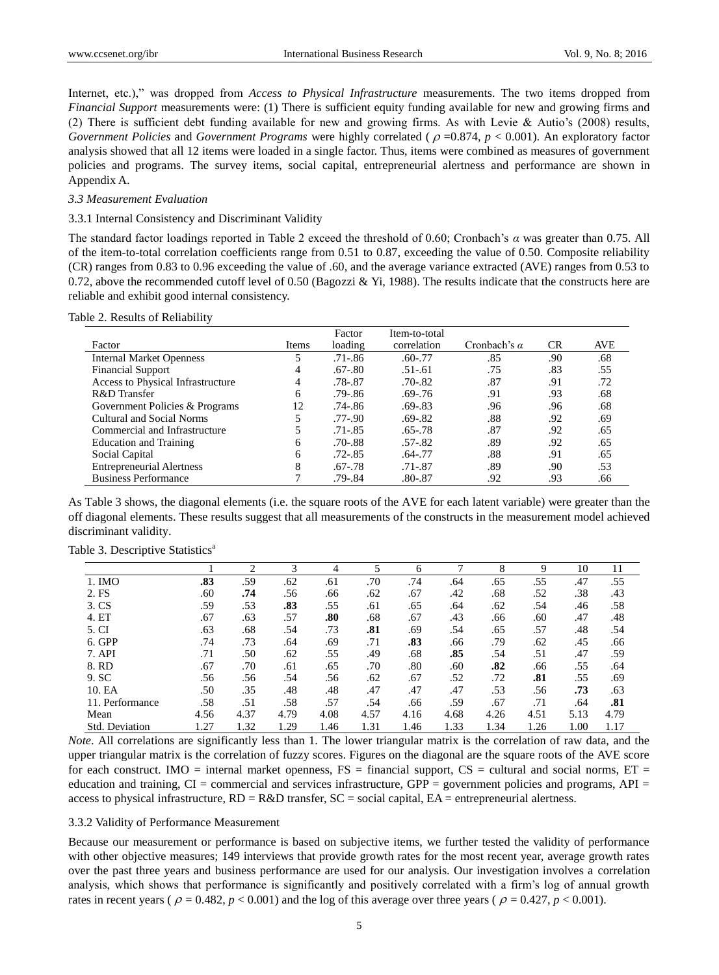Internet, etc.)," was dropped from *Access to Physical Infrastructure* measurements. The two items dropped from *Financial Support* measurements were: (1) There is sufficient equity funding available for new and growing firms and (2) There is sufficient debt funding available for new and growing firms. As with Levie & Autio's (2008) results, *Government Policies* and *Government Programs* were highly correlated ( $\rho = 0.874$ ,  $p < 0.001$ ). An exploratory factor analysis showed that all 12 items were loaded in a single factor. Thus, items were combined as measures of government policies and programs. The survey items, social capital, entrepreneurial alertness and performance are shown in Appendix A.

#### *3.3 Measurement Evaluation*

#### 3.3.1 Internal Consistency and Discriminant Validity

The standard factor loadings reported in Table 2 exceed the threshold of 0.60; Cronbach"s *α* was greater than 0.75. All of the item-to-total correlation coefficients range from 0.51 to 0.87, exceeding the value of 0.50. Composite reliability (CR) ranges from 0.83 to 0.96 exceeding the value of .60, and the average variance extracted (AVE) ranges from 0.53 to 0.72, above the recommended cutoff level of 0.50 (Bagozzi & Yi, 1988). The results indicate that the constructs here are reliable and exhibit good internal consistency.

| Table 2. Results of Reliability |  |
|---------------------------------|--|
|---------------------------------|--|

|                                   |       | Factor      | Item-to-total |                     |           |            |
|-----------------------------------|-------|-------------|---------------|---------------------|-----------|------------|
| Factor                            | Items | loading     | correlation   | Cronbach's $\alpha$ | <b>CR</b> | <b>AVE</b> |
| <b>Internal Market Openness</b>   |       | .71-.86     | $.60 - .77$   | .85                 | .90       | .68        |
| <b>Financial Support</b>          |       | $.67 - .80$ | $.51 - .61$   | .75                 | .83       | .55        |
| Access to Physical Infrastructure |       | .78-.87     | $.70 - .82$   | .87                 | .91       | .72        |
| R&D Transfer                      | 6     | $.79 - .86$ | $.69 - .76$   | .91                 | .93       | .68        |
| Government Policies & Programs    | 12    | $.74 - .86$ | $.69 - .83$   | .96                 | .96       | .68        |
| Cultural and Social Norms         |       | .77-.90     | $.69 - .82$   | .88                 | .92       | .69        |
| Commercial and Infrastructure     |       | .71-.85     | $.65 - .78$   | .87                 | .92       | .65        |
| <b>Education and Training</b>     | 6     | .70-.88     | $.57 - .82$   | .89                 | .92       | .65        |
| Social Capital                    | 6     | .72-.85     | $.64 - .77$   | .88                 | .91       | .65        |
| <b>Entrepreneurial Alertness</b>  | 8     | $.67 - .78$ | $.71 - .87$   | .89                 | .90       | .53        |
| <b>Business Performance</b>       |       | .79-.84     | $.80 - .87$   | .92                 | .93       | .66        |

As Table 3 shows, the diagonal elements (i.e. the square roots of the AVE for each latent variable) were greater than the off diagonal elements. These results suggest that all measurements of the constructs in the measurement model achieved discriminant validity.

|                       |      | $\bigcap$ | 3    | 4    | 5    | 6    | 7    | 8    | 9    | 10   | 11   |  |
|-----------------------|------|-----------|------|------|------|------|------|------|------|------|------|--|
| 1. IMO                | .83  | .59       | .62  | .61  | .70  | .74  | .64  | .65  | .55  | .47  | .55  |  |
| 2. FS                 | .60  | .74       | .56  | .66  | .62  | .67  | .42  | .68  | .52  | .38  | .43  |  |
| 3. CS                 | .59  | .53       | .83  | .55  | .61  | .65  | .64  | .62  | .54  | .46  | .58  |  |
| 4. ET                 | .67  | .63       | .57  | .80  | .68  | .67  | .43  | .66  | .60  | .47  | .48  |  |
| 5. CI                 | .63  | .68       | .54  | .73  | .81  | .69  | .54  | .65  | .57  | .48  | .54  |  |
| 6. GPP                | .74  | .73       | .64  | .69  | .71  | .83  | .66  | .79  | .62  | .45  | .66  |  |
| 7. API                | .71  | .50       | .62  | .55  | .49  | .68  | .85  | .54  | .51  | .47  | .59  |  |
| 8. RD                 | .67  | .70       | .61  | .65  | .70  | .80  | .60  | .82  | .66  | .55  | .64  |  |
| 9. SC                 | .56  | .56       | .54  | .56  | .62  | .67  | .52  | .72  | .81  | .55  | .69  |  |
| 10. EA                | .50  | .35       | .48  | .48  | .47  | .47  | .47  | .53  | .56  | .73  | .63  |  |
| 11. Performance       | .58  | .51       | .58  | .57  | .54  | .66  | .59  | .67  | .71  | .64  | .81  |  |
| Mean                  | 4.56 | 4.37      | 4.79 | 4.08 | 4.57 | 4.16 | 4.68 | 4.26 | 4.51 | 5.13 | 4.79 |  |
| <b>Std. Deviation</b> | 1.27 | 1.32      | 1.29 | 1.46 | 1.31 | 1.46 | 1.33 | 1.34 | 1.26 | 1.00 | 1.17 |  |

Table 3. Descriptive Statistics<sup>a</sup>

*Note*. All correlations are significantly less than 1. The lower triangular matrix is the correlation of raw data, and the upper triangular matrix is the correlation of fuzzy scores. Figures on the diagonal are the square roots of the AVE score for each construct. IMO = internal market openness,  $FS =$  financial support,  $CS =$  cultural and social norms,  $ET =$ education and training,  $CI =$  commercial and services infrastructure,  $GPP =$  government policies and programs,  $API =$ access to physical infrastructure,  $RD = R&D$  transfer,  $SC = social$  capital,  $EA =$  entrepreneurial alertness.

#### 3.3.2 Validity of Performance Measurement

Because our measurement or performance is based on subjective items, we further tested the validity of performance with other objective measures; 149 interviews that provide growth rates for the most recent year, average growth rates over the past three years and business performance are used for our analysis. Our investigation involves a correlation analysis, which shows that performance is significantly and positively correlated with a firm"s log of annual growth rates in recent years ( $\rho = 0.482$ ,  $p < 0.001$ ) and the log of this average over three years ( $\rho = 0.427$ ,  $p < 0.001$ ).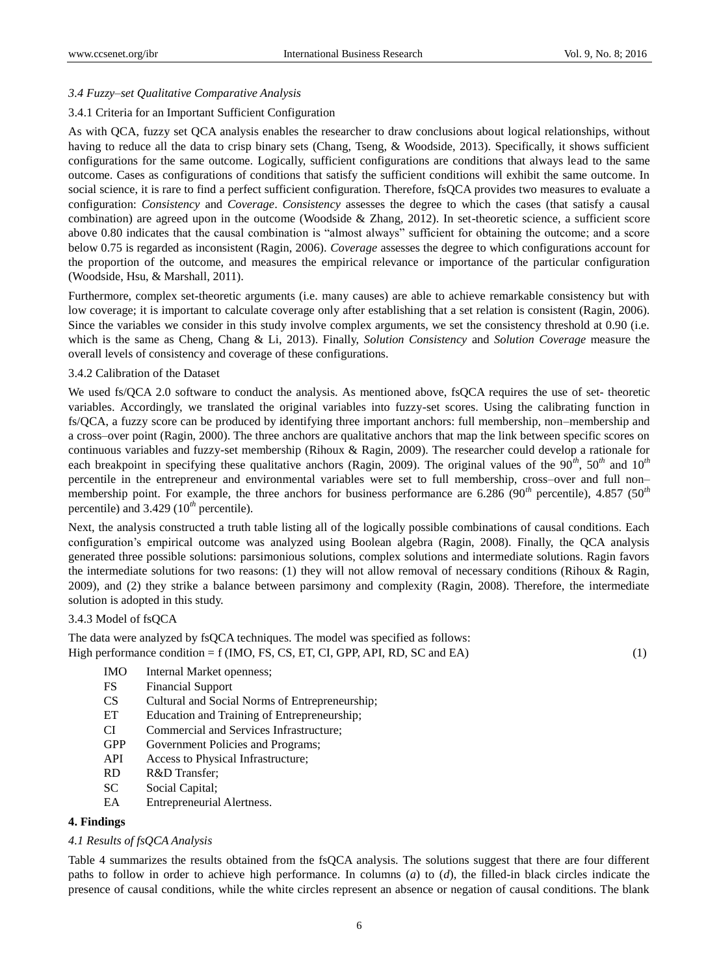### *3.4 Fuzzy–set Qualitative Comparative Analysis*

#### 3.4.1 Criteria for an Important Sufficient Configuration

As with QCA, fuzzy set QCA analysis enables the researcher to draw conclusions about logical relationships, without having to reduce all the data to crisp binary sets (Chang, Tseng, & Woodside, 2013). Specifically, it shows sufficient configurations for the same outcome. Logically, sufficient configurations are conditions that always lead to the same outcome. Cases as configurations of conditions that satisfy the sufficient conditions will exhibit the same outcome. In social science, it is rare to find a perfect sufficient configuration. Therefore, fsQCA provides two measures to evaluate a configuration: *Consistency* and *Coverage*. *Consistency* assesses the degree to which the cases (that satisfy a causal combination) are agreed upon in the outcome (Woodside & Zhang, 2012). In set-theoretic science, a sufficient score above 0.80 indicates that the causal combination is "almost always" sufficient for obtaining the outcome; and a score below 0.75 is regarded as inconsistent (Ragin, 2006). *Coverage* assesses the degree to which configurations account for the proportion of the outcome, and measures the empirical relevance or importance of the particular configuration (Woodside, Hsu, & Marshall, 2011).

Furthermore, complex set-theoretic arguments (i.e. many causes) are able to achieve remarkable consistency but with low coverage; it is important to calculate coverage only after establishing that a set relation is consistent (Ragin, 2006). Since the variables we consider in this study involve complex arguments, we set the consistency threshold at 0.90 (i.e. which is the same as Cheng, Chang & Li, 2013). Finally, *Solution Consistency* and *Solution Coverage* measure the overall levels of consistency and coverage of these configurations.

## 3.4.2 Calibration of the Dataset

We used fs/QCA 2.0 software to conduct the analysis. As mentioned above, fsQCA requires the use of set- theoretic variables. Accordingly, we translated the original variables into fuzzy-set scores. Using the calibrating function in fs/QCA, a fuzzy score can be produced by identifying three important anchors: full membership, non–membership and a cross–over point (Ragin, 2000). The three anchors are qualitative anchors that map the link between specific scores on continuous variables and fuzzy-set membership (Rihoux & Ragin, 2009). The researcher could develop a rationale for each breakpoint in specifying these qualitative anchors (Ragin, 2009). The original values of the 90*th*, 50*th* and 10*th* percentile in the entrepreneur and environmental variables were set to full membership, cross–over and full non– membership point. For example, the three anchors for business performance are 6.286 (90*th* percentile), 4.857 (50*th* percentile) and 3.429 (10*th* percentile).

Next, the analysis constructed a truth table listing all of the logically possible combinations of causal conditions. Each configuration"s empirical outcome was analyzed using Boolean algebra (Ragin, 2008). Finally, the QCA analysis generated three possible solutions: parsimonious solutions, complex solutions and intermediate solutions. Ragin favors the intermediate solutions for two reasons: (1) they will not allow removal of necessary conditions (Rihoux & Ragin, 2009), and (2) they strike a balance between parsimony and complexity (Ragin, 2008). Therefore, the intermediate solution is adopted in this study.

#### 3.4.3 Model of fsQCA

The data were analyzed by fsQCA techniques. The model was specified as follows: High performance condition  $= f(IMO, FS, CS, ET, CI, GPP, API, RD, SC and EA)$  (1)

- IMO Internal Market openness;
- FS Financial Support
- CS Cultural and Social Norms of Entrepreneurship;
- ET Education and Training of Entrepreneurship;
- CI Commercial and Services Infrastructure;
- GPP Government Policies and Programs;
- API Access to Physical Infrastructure;
- RD R&D Transfer;
- SC Social Capital;
- EA Entrepreneurial Alertness.

# **4. Findings**

#### *4.1 Results of fsQCA Analysis*

Table 4 summarizes the results obtained from the fsQCA analysis. The solutions suggest that there are four different paths to follow in order to achieve high performance. In columns (*a*) to (*d*), the filled-in black circles indicate the presence of causal conditions, while the white circles represent an absence or negation of causal conditions. The blank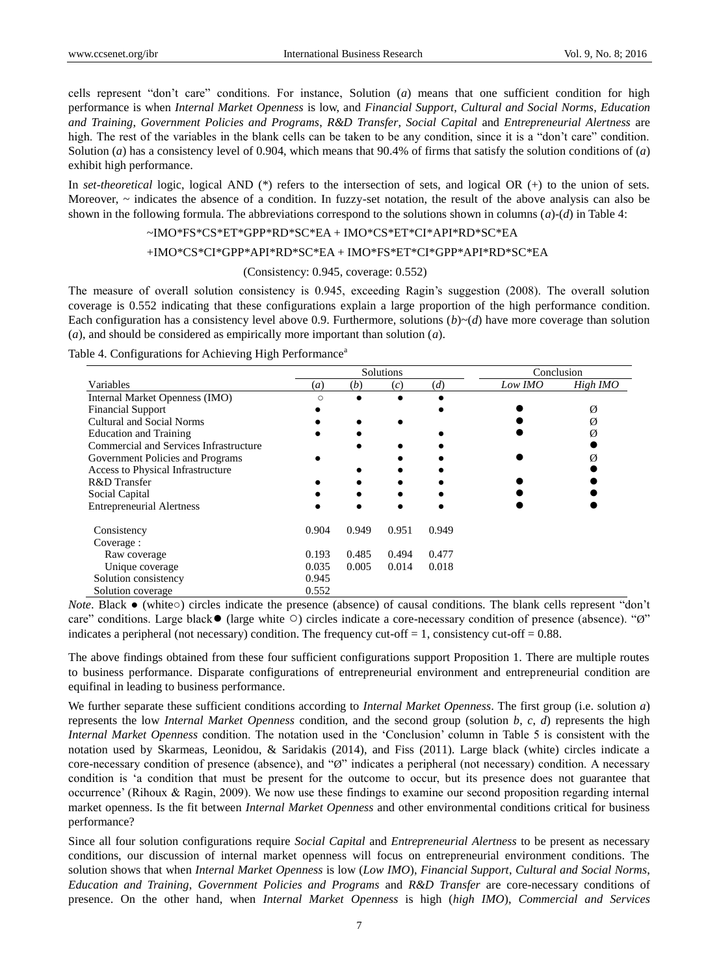cells represent "don"t care" conditions. For instance, Solution (*a*) means that one sufficient condition for high performance is when *Internal Market Openness* is low, and *Financial Support*, *Cultural and Social Norms*, *Education and Training*, *Government Policies and Programs*, *R&D Transfer*, *Social Capital* and *Entrepreneurial Alertness* are high. The rest of the variables in the blank cells can be taken to be any condition, since it is a "don't care" condition. Solution (*a*) has a consistency level of 0.904, which means that 90.4% of firms that satisfy the solution conditions of (*a*) exhibit high performance.

In *set*-*theoretical* logic, logical AND (\*) refers to the intersection of sets, and logical OR (+) to the union of sets. Moreover,  $\sim$  indicates the absence of a condition. In fuzzy-set notation, the result of the above analysis can also be shown in the following formula. The abbreviations correspond to the solutions shown in columns (*a*)-(*d*) in Table 4:

# ~IMO\*FS\*CS\*ET\*GPP\*RD\*SC\*EA + IMO\*CS\*ET\*CI\*API\*RD\*SC\*EA

## +IMO\*CS\*CI\*GPP\*API\*RD\*SC\*EA + IMO\*FS\*ET\*CI\*GPP\*API\*RD\*SC\*EA

#### (Consistency: 0.945, coverage: 0.552)

The measure of overall solution consistency is 0.945, exceeding Ragin's suggestion (2008). The overall solution coverage is 0.552 indicating that these configurations explain a large proportion of the high performance condition. Each configuration has a consistency level above 0.9. Furthermore, solutions  $(b) \sim (d)$  have more coverage than solution (*a*), and should be considered as empirically more important than solution (*a*).

|  |  | Table 4. Configurations for Achieving High Performance <sup>a</sup> |
|--|--|---------------------------------------------------------------------|
|  |  |                                                                     |

|                                        |            |       | Solutions |       | Conclusion |          |  |
|----------------------------------------|------------|-------|-----------|-------|------------|----------|--|
| Variables                              | (a)        | (b)   | (c)       | (d)   | Low IMO    | High IMO |  |
| Internal Market Openness (IMO)         | $\bigcirc$ |       |           |       |            |          |  |
| <b>Financial Support</b>               |            |       |           |       |            | Ø        |  |
| Cultural and Social Norms              |            |       |           |       |            | Ø        |  |
| <b>Education and Training</b>          |            |       |           |       |            |          |  |
| Commercial and Services Infrastructure |            |       |           |       |            |          |  |
| Government Policies and Programs       |            |       |           |       |            |          |  |
| Access to Physical Infrastructure      |            |       |           |       |            |          |  |
| R&D Transfer                           |            |       |           |       |            |          |  |
| Social Capital                         |            |       |           |       |            |          |  |
| <b>Entrepreneurial Alertness</b>       |            |       |           |       |            |          |  |
| Consistency                            | 0.904      | 0.949 | 0.951     | 0.949 |            |          |  |
| Coverage :                             |            |       |           |       |            |          |  |
| Raw coverage                           | 0.193      | 0.485 | 0.494     | 0.477 |            |          |  |
| Unique coverage                        | 0.035      | 0.005 | 0.014     | 0.018 |            |          |  |
| Solution consistency                   | 0.945      |       |           |       |            |          |  |
| Solution coverage                      | 0.552      |       |           |       |            |          |  |

*Note*. Black • (white○) circles indicate the presence (absence) of causal conditions. The blank cells represent "don't care" conditions. Large black● (large white ○) circles indicate a core-necessary condition of presence (absence). "Ø" indicates a peripheral (not necessary) condition. The frequency cut-off  $= 1$ , consistency cut-off  $= 0.88$ .

The above findings obtained from these four sufficient configurations support Proposition 1. There are multiple routes to business performance. Disparate configurations of entrepreneurial environment and entrepreneurial condition are equifinal in leading to business performance.

We further separate these sufficient conditions according to *Internal Market Openness*. The first group (i.e. solution *a*) represents the low *Internal Market Openness* condition, and the second group (solution *b*, *c*, *d*) represents the high *Internal Market Openness* condition. The notation used in the "Conclusion" column in Table 5 is consistent with the notation used by Skarmeas, Leonidou, & Saridakis (2014), and Fiss (2011). Large black (white) circles indicate a core-necessary condition of presence (absence), and "Ø" indicates a peripheral (not necessary) condition. A necessary condition is "a condition that must be present for the outcome to occur, but its presence does not guarantee that occurrence' (Rihoux & Ragin, 2009). We now use these findings to examine our second proposition regarding internal market openness. Is the fit between *Internal Market Openness* and other environmental conditions critical for business performance?

Since all four solution configurations require *Social Capital* and *Entrepreneurial Alertness* to be present as necessary conditions, our discussion of internal market openness will focus on entrepreneurial environment conditions. The solution shows that when *Internal Market Openness* is low (*Low IMO*), *Financial Support*, *Cultural and Social Norms*, *Education and Training*, *Government Policies and Programs* and *R&D Transfer* are core-necessary conditions of presence. On the other hand, when *Internal Market Openness* is high (*high IMO*), *Commercial and Services*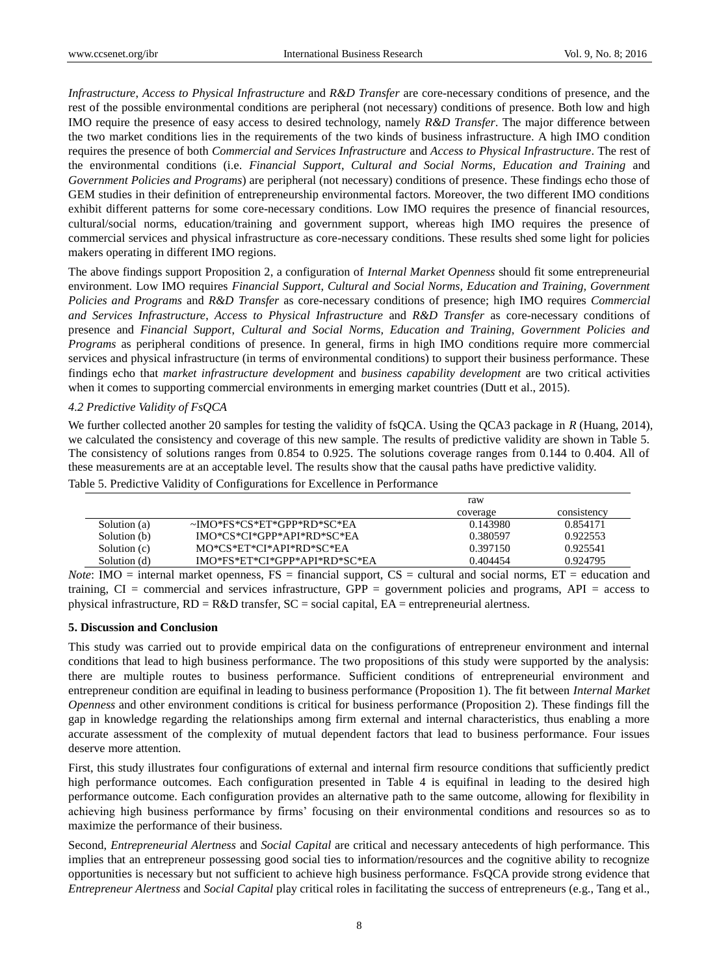*Infrastructure*, *Access to Physical Infrastructure* and *R&D Transfer* are core-necessary conditions of presence, and the rest of the possible environmental conditions are peripheral (not necessary) conditions of presence. Both low and high IMO require the presence of easy access to desired technology, namely *R&D Transfer*. The major difference between the two market conditions lies in the requirements of the two kinds of business infrastructure. A high IMO condition requires the presence of both *Commercial and Services Infrastructure* and *Access to Physical Infrastructure*. The rest of the environmental conditions (i.e. *Financial Support*, *Cultural and Social Norms, Education and Training* and *Government Policies and Programs*) are peripheral (not necessary) conditions of presence. These findings echo those of GEM studies in their definition of entrepreneurship environmental factors. Moreover, the two different IMO conditions exhibit different patterns for some core-necessary conditions. Low IMO requires the presence of financial resources, cultural/social norms, education/training and government support, whereas high IMO requires the presence of commercial services and physical infrastructure as core-necessary conditions. These results shed some light for policies makers operating in different IMO regions.

The above findings support Proposition 2, a configuration of *Internal Market Openness* should fit some entrepreneurial environment. Low IMO requires *Financial Support*, *Cultural and Social Norms, Education and Training, Government Policies and Programs* and *R&D Transfer* as core-necessary conditions of presence; high IMO requires *Commercial and Services Infrastructure*, *Access to Physical Infrastructure* and *R&D Transfer* as core-necessary conditions of presence and *Financial Support*, *Cultural and Social Norms, Education and Training, Government Policies and Programs* as peripheral conditions of presence. In general, firms in high IMO conditions require more commercial services and physical infrastructure (in terms of environmental conditions) to support their business performance. These findings echo that *market infrastructure development* and *business capability development* are two critical activities when it comes to supporting commercial environments in emerging market countries (Dutt et al., 2015).

## *4.2 Predictive Validity of FsQCA*

We further collected another 20 samples for testing the validity of fsQCA. Using the QCA3 package in *R* (Huang, 2014), we calculated the consistency and coverage of this new sample. The results of predictive validity are shown in Table 5. The consistency of solutions ranges from 0.854 to 0.925. The solutions coverage ranges from 0.144 to 0.404. All of these measurements are at an acceptable level. The results show that the causal paths have predictive validity. Table 5. Predictive Validity of Configurations for Excellence in Performance

|              |                               | raw      |             |
|--------------|-------------------------------|----------|-------------|
|              |                               | coverage | consistency |
| Solution (a) | ~IMO*FS*CS*ET*GPP*RD*SC*EA    | 0.143980 | 0.854171    |
| Solution (b) | IMO*CS*CI*GPP*API*RD*SC*EA    | 0.380597 | 0.922553    |
| Solution (c) | MO*CS*ET*CI*API*RD*SC*EA      | 0.397150 | 0.925541    |
| Solution (d) | IMO*FS*ET*CI*GPP*API*RD*SC*EA | 0.404454 | 0.924795    |

*Note*: IMO = internal market openness,  $FS =$  financial support,  $CS =$  cultural and social norms,  $ET =$  education and training, CI = commercial and services infrastructure, GPP = government policies and programs, API = access to physical infrastructure,  $RD = R&D$  transfer,  $SC = social$  capital,  $EA =$  entrepreneurial alertness.

#### **5. Discussion and Conclusion**

This study was carried out to provide empirical data on the configurations of entrepreneur environment and internal conditions that lead to high business performance. The two propositions of this study were supported by the analysis: there are multiple routes to business performance. Sufficient conditions of entrepreneurial environment and entrepreneur condition are equifinal in leading to business performance (Proposition 1). The fit between *Internal Market Openness* and other environment conditions is critical for business performance (Proposition 2). These findings fill the gap in knowledge regarding the relationships among firm external and internal characteristics, thus enabling a more accurate assessment of the complexity of mutual dependent factors that lead to business performance. Four issues deserve more attention.

First, this study illustrates four configurations of external and internal firm resource conditions that sufficiently predict high performance outcomes. Each configuration presented in Table 4 is equifinal in leading to the desired high performance outcome. Each configuration provides an alternative path to the same outcome, allowing for flexibility in achieving high business performance by firms" focusing on their environmental conditions and resources so as to maximize the performance of their business.

Second, *Entrepreneurial Alertness* and *Social Capital* are critical and necessary antecedents of high performance. This implies that an entrepreneur possessing good social ties to information/resources and the cognitive ability to recognize opportunities is necessary but not sufficient to achieve high business performance. FsQCA provide strong evidence that *Entrepreneur Alertness* and *Social Capital* play critical roles in facilitating the success of entrepreneurs (e.g., Tang et al.,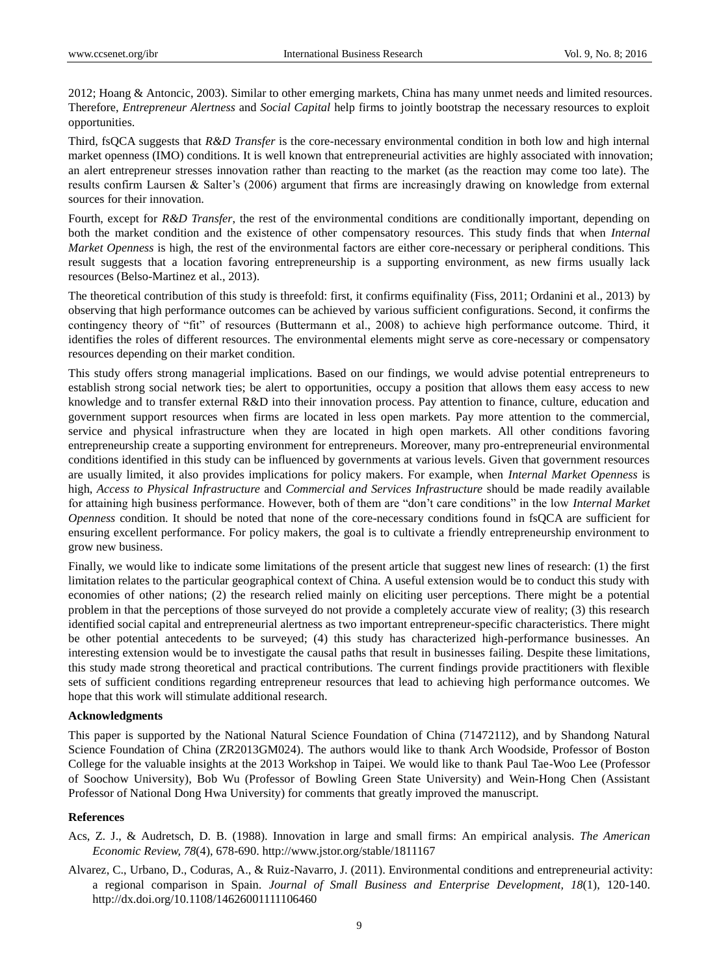2012; Hoang & Antoncic, 2003). Similar to other emerging markets, China has many unmet needs and limited resources. Therefore, *Entrepreneur Alertness* and *Social Capital* help firms to jointly bootstrap the necessary resources to exploit opportunities.

Third, fsQCA suggests that *R&D Transfer* is the core-necessary environmental condition in both low and high internal market openness (IMO) conditions. It is well known that entrepreneurial activities are highly associated with innovation; an alert entrepreneur stresses innovation rather than reacting to the market (as the reaction may come too late). The results confirm Laursen & Salter's (2006) argument that firms are increasingly drawing on knowledge from external sources for their innovation.

Fourth, except for *R&D Transfer*, the rest of the environmental conditions are conditionally important, depending on both the market condition and the existence of other compensatory resources. This study finds that when *Internal Market Openness* is high, the rest of the environmental factors are either core-necessary or peripheral conditions. This result suggests that a location favoring entrepreneurship is a supporting environment, as new firms usually lack resources (Belso-Martinez et al., 2013).

The theoretical contribution of this study is threefold: first, it confirms equifinality (Fiss, 2011; Ordanini et al., 2013) by observing that high performance outcomes can be achieved by various sufficient configurations. Second, it confirms the contingency theory of "fit" of resources (Buttermann et al., 2008) to achieve high performance outcome. Third, it identifies the roles of different resources. The environmental elements might serve as core-necessary or compensatory resources depending on their market condition.

This study offers strong managerial implications. Based on our findings, we would advise potential entrepreneurs to establish strong social network ties; be alert to opportunities, occupy a position that allows them easy access to new knowledge and to transfer external R&D into their innovation process. Pay attention to finance, culture, education and government support resources when firms are located in less open markets. Pay more attention to the commercial, service and physical infrastructure when they are located in high open markets. All other conditions favoring entrepreneurship create a supporting environment for entrepreneurs. Moreover, many pro-entrepreneurial environmental conditions identified in this study can be influenced by governments at various levels. Given that government resources are usually limited, it also provides implications for policy makers. For example, when *Internal Market Openness* is high, *Access to Physical Infrastructure* and *Commercial and Services Infrastructure* should be made readily available for attaining high business performance. However, both of them are "don"t care conditions" in the low *Internal Market Openness* condition. It should be noted that none of the core-necessary conditions found in fsQCA are sufficient for ensuring excellent performance. For policy makers, the goal is to cultivate a friendly entrepreneurship environment to grow new business.

Finally, we would like to indicate some limitations of the present article that suggest new lines of research: (1) the first limitation relates to the particular geographical context of China. A useful extension would be to conduct this study with economies of other nations; (2) the research relied mainly on eliciting user perceptions. There might be a potential problem in that the perceptions of those surveyed do not provide a completely accurate view of reality; (3) this research identified social capital and entrepreneurial alertness as two important entrepreneur-specific characteristics. There might be other potential antecedents to be surveyed; (4) this study has characterized high-performance businesses. An interesting extension would be to investigate the causal paths that result in businesses failing. Despite these limitations, this study made strong theoretical and practical contributions. The current findings provide practitioners with flexible sets of sufficient conditions regarding entrepreneur resources that lead to achieving high performance outcomes. We hope that this work will stimulate additional research.

#### **Acknowledgments**

This paper is supported by the National Natural Science Foundation of China (71472112), and by Shandong Natural Science Foundation of China (ZR2013GM024). The authors would like to thank Arch Woodside, Professor of Boston College for the valuable insights at the 2013 Workshop in Taipei. We would like to thank Paul Tae-Woo Lee (Professor of Soochow University), Bob Wu (Professor of Bowling Green State University) and Wein-Hong Chen (Assistant Professor of National Dong Hwa University) for comments that greatly improved the manuscript.

#### **References**

- Acs, Z. J., & Audretsch, D. B. (1988). Innovation in large and small firms: An empirical analysis. *The American Economic Review, 78*(4), 678-690. http://www.jstor.org/stable/1811167
- Alvarez, C., Urbano, D., Coduras, A., & Ruiz-Navarro, J. (2011). Environmental conditions and entrepreneurial activity: a regional comparison in Spain. *Journal of Small Business and Enterprise Development, 18*(1), 120-140. http://dx.doi.org/10.1108/14626001111106460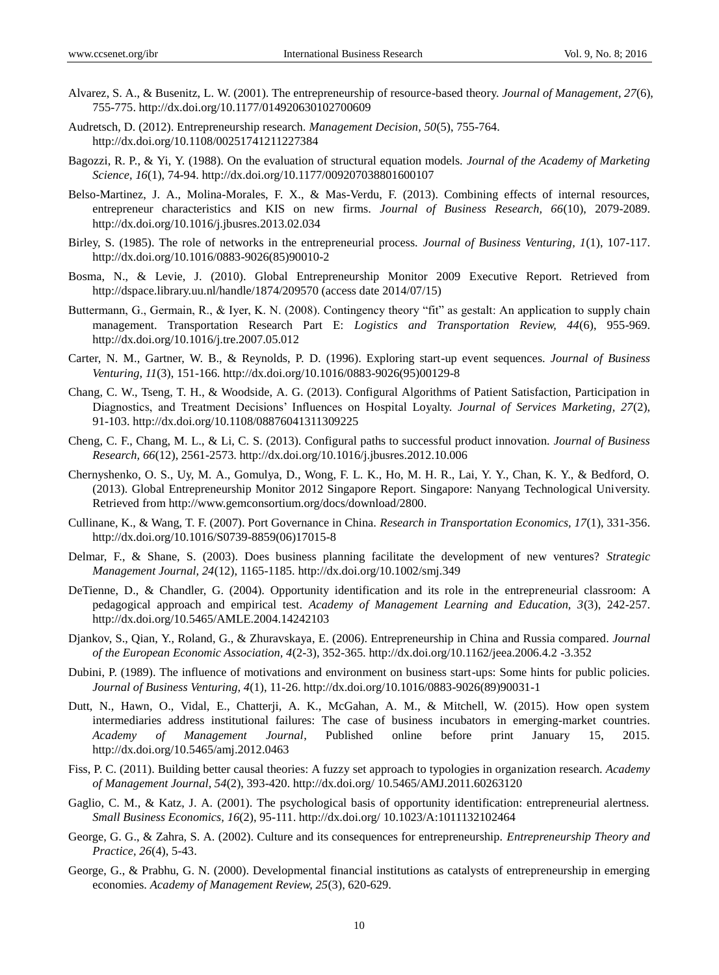- Alvarez, S. A., & Busenitz, L. W. (2001). The entrepreneurship of resource-based theory. *Journal of Management, 27*(6), 755-775. http://dx.doi.org/10.1177/014920630102700609
- Audretsch, D. (2012). Entrepreneurship research. *Management Decision, 50*(5), 755-764. http://dx.doi.org/10.1108/00251741211227384
- Bagozzi, R. P., & Yi, Y. (1988). On the evaluation of structural equation models. *Journal of the Academy of Marketing Science, 16*(1), 74-94. http://dx.doi.org/10.1177/009207038801600107
- Belso-Martinez, J. A., Molina-Morales, F. X., & Mas-Verdu, F. (2013). Combining effects of internal resources, entrepreneur characteristics and KIS on new firms. *Journal of Business Research, 66*(10), 2079-2089. http://dx.doi.org/10.1016/j.jbusres.2013.02.034
- Birley, S. (1985). The role of networks in the entrepreneurial process. *Journal of Business Venturing, 1*(1), 107-117. http://dx.doi.org/10.1016/0883-9026(85)90010-2
- Bosma, N., & Levie, J. (2010). Global Entrepreneurship Monitor 2009 Executive Report. Retrieved from http://dspace.library.uu.nl/handle/1874/209570 (access date 2014/07/15)
- Buttermann, G., Germain, R., & Iyer, K. N. (2008). Contingency theory "fit" as gestalt: An application to supply chain management. Transportation Research Part E: *Logistics and Transportation Review, 44*(6), 955-969. http://dx.doi.org/10.1016/j.tre.2007.05.012
- Carter, N. M., Gartner, W. B., & Reynolds, P. D. (1996). Exploring start-up event sequences. *Journal of Business Venturing, 11*(3), 151-166. http://dx.doi.org/10.1016/0883-9026(95)00129-8
- Chang, C. W., Tseng, T. H., & Woodside, A. G. (2013). Configural Algorithms of Patient Satisfaction, Participation in Diagnostics, and Treatment Decisions" Influences on Hospital Loyalty. *Journal of Services Marketing, 27*(2), 91-103. http://dx.doi.org/10.1108/08876041311309225
- Cheng, C. F., Chang, M. L., & Li, C. S. (2013). Configural paths to successful product innovation. *Journal of Business Research, 66*(12), 2561-2573. http://dx.doi.org/10.1016/j.jbusres.2012.10.006
- Chernyshenko, O. S., Uy, M. A., Gomulya, D., Wong, F. L. K., Ho, M. H. R., Lai, Y. Y., Chan, K. Y., & Bedford, O. (2013). Global Entrepreneurship Monitor 2012 Singapore Report. Singapore: Nanyang Technological University. Retrieved from http://www.gemconsortium.org/docs/download/2800.
- Cullinane, K., & Wang, T. F. (2007). Port Governance in China. *Research in Transportation Economics, 17*(1), 331-356. http://dx.doi.org/10.1016/S0739-8859(06)17015-8
- Delmar, F., & Shane, S. (2003). Does business planning facilitate the development of new ventures? *Strategic Management Journal, 24*(12), 1165-1185. http://dx.doi.org/10.1002/smj.349
- DeTienne, D., & Chandler, G. (2004). Opportunity identification and its role in the entrepreneurial classroom: A pedagogical approach and empirical test. *Academy of Management Learning and Education, 3*(3), 242-257. http://dx.doi.org/10.5465/AMLE.2004.14242103
- Djankov, S., Qian, Y., Roland, G., & Zhuravskaya, E. (2006). Entrepreneurship in China and Russia compared. *Journal of the European Economic Association, 4*(2-3), 352-365. http://dx.doi.org/10.1162/jeea.2006.4.2 -3.352
- Dubini, P. (1989). The influence of motivations and environment on business start-ups: Some hints for public policies. *Journal of Business Venturing, 4*(1), 11-26. http://dx.doi.org/10.1016/0883-9026(89)90031-1
- Dutt, N., Hawn, O., Vidal, E., Chatterji, A. K., McGahan, A. M., & Mitchell, W. (2015). How open system intermediaries address institutional failures: The case of business incubators in emerging-market countries. *Academy of Management Journal*, Published online before print January 15, 2015. http://dx.doi.org/10.5465/amj.2012.0463
- Fiss, P. C. (2011). Building better causal theories: A fuzzy set approach to typologies in organization research. *Academy of Management Journal, 54*(2), 393-420. http://dx.doi.org/ 10.5465/AMJ.2011.60263120
- Gaglio, C. M., & Katz, J. A. (2001). The psychological basis of opportunity identification: entrepreneurial alertness. *Small Business Economics, 16*(2), 95-111. http://dx.doi.org/ 10.1023/A:1011132102464
- George, G. G., & Zahra, S. A. (2002). Culture and its consequences for entrepreneurship. *Entrepreneurship Theory and Practice, 26*(4), 5-43.
- George, G., & Prabhu, G. N. (2000). Developmental financial institutions as catalysts of entrepreneurship in emerging economies. *Academy of Management Review, 25*(3), 620-629.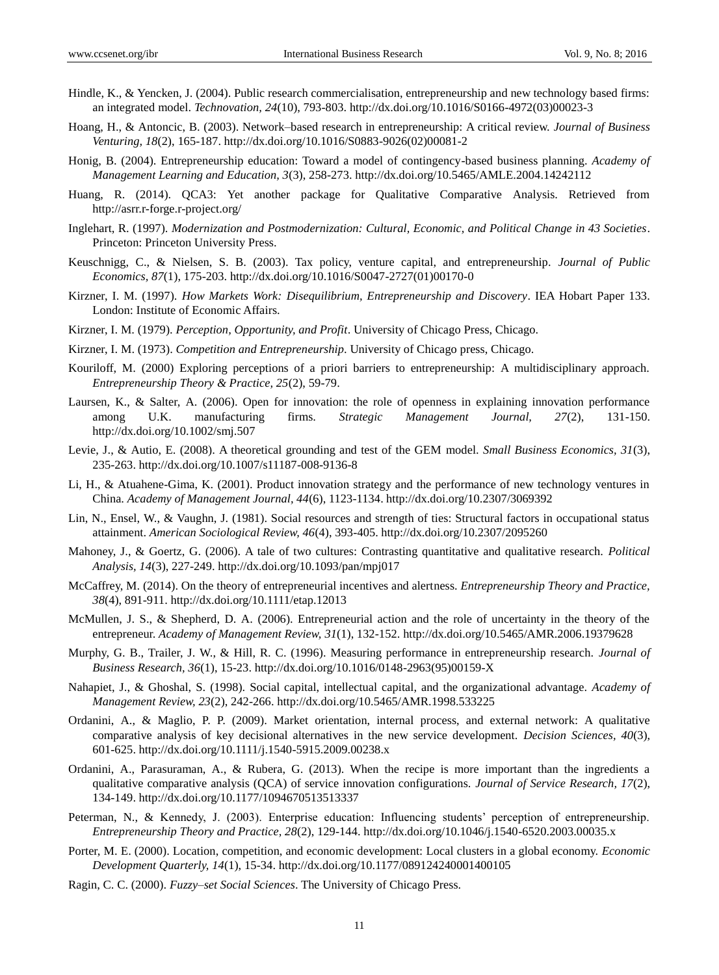- Hindle, K., & Yencken, J. (2004). Public research commercialisation, entrepreneurship and new technology based firms: an integrated model. *Technovation, 24*(10), 793-803. http://dx.doi.org/10.1016/S0166-4972(03)00023-3
- Hoang, H., & Antoncic, B. (2003). Network–based research in entrepreneurship: A critical review. *Journal of Business Venturing, 18*(2), 165-187. http://dx.doi.org/10.1016/S0883-9026(02)00081-2
- Honig, B. (2004). Entrepreneurship education: Toward a model of contingency-based business planning. *Academy of Management Learning and Education, 3*(3), 258-273. http://dx.doi.org/10.5465/AMLE.2004.14242112
- Huang, R. (2014). QCA3: Yet another package for Qualitative Comparative Analysis. Retrieved from http://asrr.r-forge.r-project.org/
- Inglehart, R. (1997). *Modernization and Postmodernization: Cultural, Economic, and Political Change in 43 Societies*. Princeton: Princeton University Press.
- Keuschnigg, C., & Nielsen, S. B. (2003). Tax policy, venture capital, and entrepreneurship. *Journal of Public Economics, 87*(1), 175-203. http://dx.doi.org/10.1016/S0047-2727(01)00170-0
- Kirzner, I. M. (1997). *How Markets Work: Disequilibrium, Entrepreneurship and Discovery*. IEA Hobart Paper 133. London: Institute of Economic Affairs.
- Kirzner, I. M. (1979). *Perception, Opportunity, and Profit*. University of Chicago Press, Chicago.
- Kirzner, I. M. (1973). *Competition and Entrepreneurship*. University of Chicago press, Chicago.
- Kouriloff, M. (2000) Exploring perceptions of a priori barriers to entrepreneurship: A multidisciplinary approach. *Entrepreneurship Theory & Practice, 25*(2), 59-79.
- Laursen, K., & Salter, A. (2006). Open for innovation: the role of openness in explaining innovation performance among U.K. manufacturing firms. *Strategic Management Journal, 27*(2), 131-150. http://dx.doi.org/10.1002/smj.507
- Levie, J., & Autio, E. (2008). A theoretical grounding and test of the GEM model. *Small Business Economics, 31*(3), 235-263. http://dx.doi.org/10.1007/s11187-008-9136-8
- Li, H., & Atuahene-Gima, K. (2001). Product innovation strategy and the performance of new technology ventures in China. *Academy of Management Journal, 44*(6), 1123-1134. http://dx.doi.org/10.2307/3069392
- Lin, N., Ensel, W., & Vaughn, J. (1981). Social resources and strength of ties: Structural factors in occupational status attainment. *American Sociological Review, 46*(4), 393-405. http://dx.doi.org/10.2307/2095260
- Mahoney, J., & Goertz, G. (2006). A tale of two cultures: Contrasting quantitative and qualitative research. *Political Analysis, 14*(3), 227-249. http://dx.doi.org/10.1093/pan/mpj017
- McCaffrey, M. (2014). On the theory of entrepreneurial incentives and alertness. *Entrepreneurship Theory and Practice, 38*(4), 891-911. http://dx.doi.org/10.1111/etap.12013
- McMullen, J. S., & Shepherd, D. A. (2006). Entrepreneurial action and the role of uncertainty in the theory of the entrepreneur. *Academy of Management Review, 31*(1), 132-152. http://dx.doi.org/10.5465/AMR.2006.19379628
- Murphy, G. B., Trailer, J. W., & Hill, R. C. (1996). Measuring performance in entrepreneurship research. *Journal of Business Research, 36*(1), 15-23. http://dx.doi.org/10.1016/0148-2963(95)00159-X
- Nahapiet, J., & Ghoshal, S. (1998). Social capital, intellectual capital, and the organizational advantage. *Academy of Management Review, 23*(2), 242-266. http://dx.doi.org/10.5465/AMR.1998.533225
- Ordanini, A., & Maglio, P. P. (2009). Market orientation, internal process, and external network: A qualitative comparative analysis of key decisional alternatives in the new service development. *Decision Sciences, 40*(3), 601-625. http://dx.doi.org/10.1111/j.1540-5915.2009.00238.x
- Ordanini, A., Parasuraman, A., & Rubera, G. (2013). When the recipe is more important than the ingredients a qualitative comparative analysis (QCA) of service innovation configurations. *Journal of Service Research, 17*(2), 134-149. http://dx.doi.org/10.1177/1094670513513337
- Peterman, N., & Kennedy, J. (2003). Enterprise education: Influencing students" perception of entrepreneurship. *Entrepreneurship Theory and Practice, 28*(2), 129-144. http://dx.doi.org/10.1046/j.1540-6520.2003.00035.x
- Porter, M. E. (2000). Location, competition, and economic development: Local clusters in a global economy. *Economic Development Quarterly, 14*(1), 15-34. http://dx.doi.org/10.1177/089124240001400105
- Ragin, C. C. (2000). *Fuzzy–set Social Sciences*. The University of Chicago Press.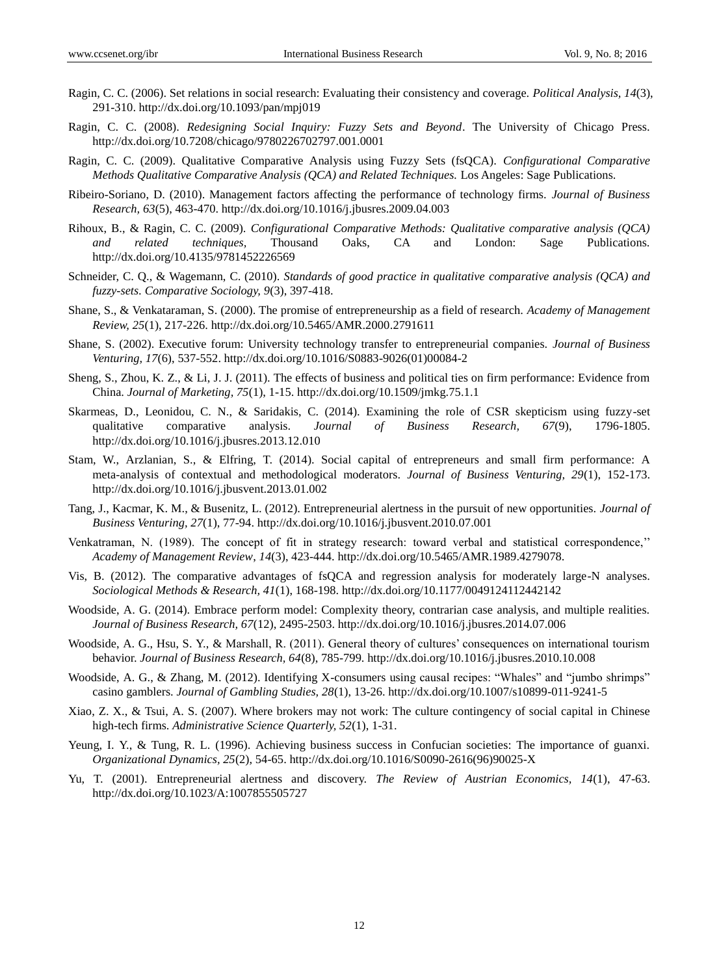- Ragin, C. C. (2006). Set relations in social research: Evaluating their consistency and coverage. *Political Analysis, 14*(3), 291-310. http://dx.doi.org/10.1093/pan/mpj019
- Ragin, C. C. (2008). *Redesigning Social Inquiry: Fuzzy Sets and Beyond*. The University of Chicago Press. http://dx.doi.org/10.7208/chicago/9780226702797.001.0001
- Ragin, C. C. (2009). Qualitative Comparative Analysis using Fuzzy Sets (fsQCA). *Configurational Comparative Methods Qualitative Comparative Analysis (QCA) and Related Techniques.* Los Angeles: Sage Publications.
- Ribeiro-Soriano, D. (2010). Management factors affecting the performance of technology firms. *Journal of Business Research, 63*(5), 463-470. http://dx.doi.org/10.1016/j.jbusres.2009.04.003
- Rihoux, B., & Ragin, C. C. (2009). *Configurational Comparative Methods: Qualitative comparative analysis (QCA) and related techniques,* Thousand Oaks, CA and London: Sage Publications. http://dx.doi.org/10.4135/9781452226569
- Schneider, C. Q., & Wagemann, C. (2010). *Standards of good practice in qualitative comparative analysis (QCA) and fuzzy-sets*. *Comparative Sociology, 9*(3), 397-418.
- Shane, S., & Venkataraman, S. (2000). The promise of entrepreneurship as a field of research. *Academy of Management Review, 25*(1), 217-226. http://dx.doi.org/10.5465/AMR.2000.2791611
- Shane, S. (2002). Executive forum: University technology transfer to entrepreneurial companies. *Journal of Business Venturing, 17*(6), 537-552. http://dx.doi.org/10.1016/S0883-9026(01)00084-2
- Sheng, S., Zhou, K. Z., & Li, J. J. (2011). The effects of business and political ties on firm performance: Evidence from China. *Journal of Marketing, 75*(1), 1-15. http://dx.doi.org/10.1509/jmkg.75.1.1
- Skarmeas, D., Leonidou, C. N., & Saridakis, C. (2014). Examining the role of CSR skepticism using fuzzy-set qualitative comparative analysis. *Journal of Business Research, 67*(9), 1796-1805. http://dx.doi.org/10.1016/j.jbusres.2013.12.010
- Stam, W., Arzlanian, S., & Elfring, T. (2014). Social capital of entrepreneurs and small firm performance: A meta-analysis of contextual and methodological moderators. *Journal of Business Venturing, 29*(1), 152-173. http://dx.doi.org/10.1016/j.jbusvent.2013.01.002
- Tang, J., Kacmar, K. M., & Busenitz, L. (2012). Entrepreneurial alertness in the pursuit of new opportunities. *Journal of Business Venturing, 27*(1), 77-94. http://dx.doi.org/10.1016/j.jbusvent.2010.07.001
- Venkatraman, N. (1989). The concept of fit in strategy research: toward verbal and statistical correspondence,"" *Academy of Management Review*, *14*(3), 423-444. http://dx.doi.org/10.5465/AMR.1989.4279078.
- Vis, B. (2012). The comparative advantages of fsQCA and regression analysis for moderately large-N analyses. *Sociological Methods & Research, 41*(1), 168-198. http://dx.doi.org/10.1177/0049124112442142
- Woodside, A. G. (2014). Embrace perform model: Complexity theory, contrarian case analysis, and multiple realities. *Journal of Business Research, 67*(12), 2495-2503. http://dx.doi.org/10.1016/j.jbusres.2014.07.006
- Woodside, A. G., Hsu, S. Y., & Marshall, R. (2011). General theory of cultures" consequences on international tourism behavior. *Journal of Business Research, 64*(8), 785-799. http://dx.doi.org/10.1016/j.jbusres.2010.10.008
- Woodside, A. G., & Zhang, M. (2012). Identifying X-consumers using causal recipes: "Whales" and "jumbo shrimps" casino gamblers. *Journal of Gambling Studies, 28*(1), 13-26. http://dx.doi.org/10.1007/s10899-011-9241-5
- Xiao, Z. X., & Tsui, A. S. (2007). Where brokers may not work: The culture contingency of social capital in Chinese high-tech firms. *Administrative Science Quarterly, 52*(1), 1-31.
- Yeung, I. Y., & Tung, R. L. (1996). Achieving business success in Confucian societies: The importance of guanxi. *Organizational Dynamics, 25*(2), 54-65. http://dx.doi.org/10.1016/S0090-2616(96)90025-X
- Yu, T. (2001). Entrepreneurial alertness and discovery. *The Review of Austrian Economics, 14*(1), 47-63. http://dx.doi.org/10.1023/A:1007855505727